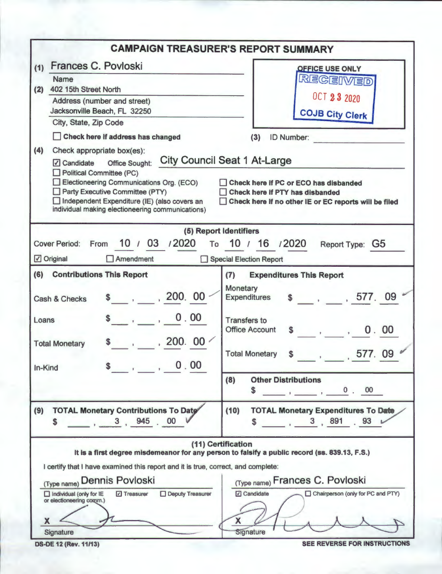|                                                                                                                                                                                                                                                                                                                                                                                                                                                                                                             | <b>CAMPAIGN TREASURER'S REPORT SUMMARY</b>                                                                                                                                                                                                                                                 |
|-------------------------------------------------------------------------------------------------------------------------------------------------------------------------------------------------------------------------------------------------------------------------------------------------------------------------------------------------------------------------------------------------------------------------------------------------------------------------------------------------------------|--------------------------------------------------------------------------------------------------------------------------------------------------------------------------------------------------------------------------------------------------------------------------------------------|
| Frances C. Povloski<br>(1)<br><b>Name</b><br>(2)<br>402 15th Street North<br>Address (number and street)<br>Jacksonville Beach, FL 32250<br>City, State, Zip Code<br>Check here if address has changed<br>(4)<br>Check appropriate box(es):<br>$\sqrt{ }$ Candidate<br><b>Office Sought:</b><br>Political Committee (PC)<br>Electioneering Communications Org. (ECO)<br>Party Executive Committee (PTY)<br>Independent Expenditure (IE) (also covers an<br>individual making electioneering communications) | <b>OFFICE USE ONLY</b><br>REGEIVED<br><b>OCT 23 2020</b><br><b>COJB City Clerk</b><br>(3)<br><b>ID Number:</b><br><b>City Council Seat 1 At-Large</b><br>Check here if PC or ECO has disbanded<br>Check here if PTY has disbanded<br>Check here if no other IE or EC reports will be filed |
| (5) Report Identifiers<br>10 / 03 / 2020<br><b>Cover Period:</b><br>From<br><b>☑</b> Original<br>$\Box$ Amendment                                                                                                                                                                                                                                                                                                                                                                                           | То 10 / 16 / 2020<br>Report Type: G5<br>Special Election Report                                                                                                                                                                                                                            |
| (6)<br><b>Contributions This Report</b><br>\$, 200, 00<br>Cash & Checks<br>$\frac{1}{2}$ , 0.00<br>Loans<br>$$ \cdot \cdot \cdot 200.00 \cdot \cdot \cdot$<br><b>Total Monetary</b><br>$\overline{\phantom{a}}$ , 0.00<br>In-Kind                                                                                                                                                                                                                                                                           | (7)<br><b>Expenditures This Report</b><br>Monetary<br>\$ 577.09<br><b>Expenditures</b><br><b>Transfers to</b><br><b>Office Account</b><br>$\frac{1}{2}$ , , 0.00<br><b>Total Monetary</b><br><b>S</b><br>, 577. 09                                                                         |
| (9)<br><b>TOTAL Monetary Contributions To Date</b><br>$\frac{3}{100}$ , 3, 945 00<br>\$                                                                                                                                                                                                                                                                                                                                                                                                                     | (8)<br><b>Other Distributions</b><br>$\overline{\phantom{a}}$ , $\overline{\phantom{a}}$ , $\overline{\phantom{a}}$ , $\overline{\phantom{a}}$ , $\overline{\phantom{a}}$ , $\overline{\phantom{a}}$<br>S<br>(10)<br><b>TOTAL Monetary Expenditures To Date</b><br>$3, 891$ 93<br>S        |
| (11) Certification<br>It is a first degree misdemeanor for any person to falsify a public record (ss. 839.13, F.S.)<br>I certify that I have examined this report and it is true, correct, and complete:<br>(Type name) Dennis Povloski<br>Deputy Treasurer<br>$\Box$ individual (only for $IE$<br>7 Treasurer<br>or electioneering comm.)<br>X<br>Signature                                                                                                                                                | (Type name) Frances C. Povloski<br><b>Z</b> Candidate<br>Chairperson (only for PC and PTY)<br>X<br>Signature                                                                                                                                                                               |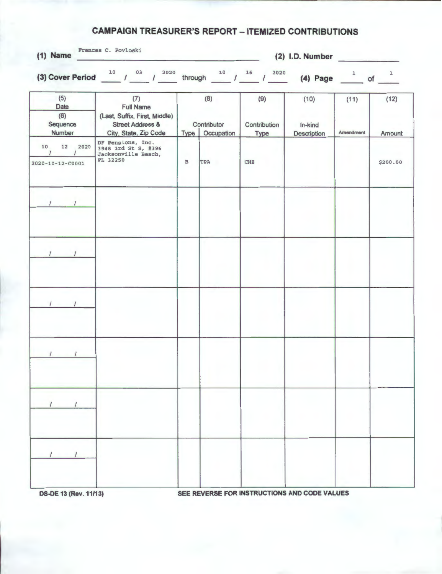## **CAMPAIGN TREASURER'S REPORT - ITEMIZED CONTRIBUTIONS**

| Frances C. Povloski<br>$(1)$ Name<br>$(2)$ I.D. Number |                                                                                                                  |              |                                         |                              |                                                                               |                   |                |
|--------------------------------------------------------|------------------------------------------------------------------------------------------------------------------|--------------|-----------------------------------------|------------------------------|-------------------------------------------------------------------------------|-------------------|----------------|
|                                                        | (3) Cover Period $10^{10}$ / $03^{2020}$                                                                         |              |                                         | through $10$ $16$ $1$ $2020$ | (4) Page $\frac{1}{\sqrt{1-\frac{1}{2}}}$ of $\frac{1}{\sqrt{1-\frac{1}{2}}}$ |                   |                |
| (5)<br>Date<br>(6)<br>Sequence<br>Number               | (7)<br><b>Full Name</b><br>(Last, Suffix, First, Middle)<br><b>Street Address &amp;</b><br>City, State, Zip Code |              | (8)<br>Contributor<br>Type   Occupation | (9)<br>Contribution<br>Type  | (10)<br>In-kind<br>Description                                                | (11)<br>Amendment | (12)<br>Amount |
| 12 2020<br>10<br>$\prime$<br>2020-10-12-C0001          | DF Pensions, Inc.<br>3948 3rd St S, #396<br>Jacksonville Beach,<br>FL 32250                                      | $\, {\bf B}$ | TPA                                     | <b>CHE</b>                   |                                                                               |                   | \$200.00       |
| $\frac{1}{1}$                                          |                                                                                                                  |              |                                         |                              |                                                                               |                   |                |
| $1 \quad 1$                                            |                                                                                                                  |              |                                         |                              |                                                                               |                   |                |
|                                                        |                                                                                                                  |              |                                         |                              |                                                                               |                   |                |
| $\sqrt{1}$                                             |                                                                                                                  |              |                                         |                              |                                                                               |                   |                |
|                                                        |                                                                                                                  |              |                                         |                              |                                                                               |                   |                |
|                                                        |                                                                                                                  |              |                                         |                              |                                                                               |                   |                |
|                                                        |                                                                                                                  |              |                                         |                              |                                                                               |                   |                |

**OS-DE 13 (Rev.11/13) SEE REVERSE FOR INSTRUCTIONS AND CODE VALUES**